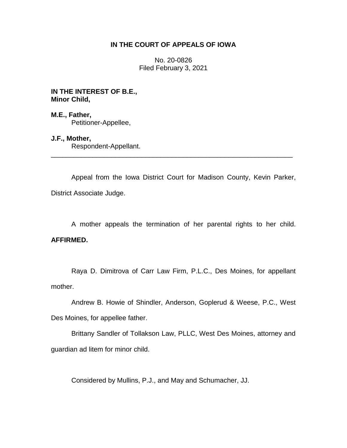# **IN THE COURT OF APPEALS OF IOWA**

No. 20-0826 Filed February 3, 2021

**IN THE INTEREST OF B.E., Minor Child,**

**M.E., Father,** Petitioner-Appellee,

**J.F., Mother,**

Respondent-Appellant.

Appeal from the Iowa District Court for Madison County, Kevin Parker, District Associate Judge.

\_\_\_\_\_\_\_\_\_\_\_\_\_\_\_\_\_\_\_\_\_\_\_\_\_\_\_\_\_\_\_\_\_\_\_\_\_\_\_\_\_\_\_\_\_\_\_\_\_\_\_\_\_\_\_\_\_\_\_\_\_\_\_\_

A mother appeals the termination of her parental rights to her child. **AFFIRMED.**

Raya D. Dimitrova of Carr Law Firm, P.L.C., Des Moines, for appellant mother.

Andrew B. Howie of Shindler, Anderson, Goplerud & Weese, P.C., West Des Moines, for appellee father.

Brittany Sandler of Tollakson Law, PLLC, West Des Moines, attorney and guardian ad litem for minor child.

Considered by Mullins, P.J., and May and Schumacher, JJ.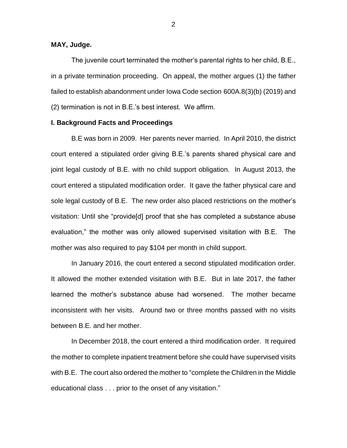### **MAY, Judge.**

The juvenile court terminated the mother's parental rights to her child, B.E., in a private termination proceeding. On appeal, the mother argues (1) the father failed to establish abandonment under Iowa Code section 600A.8(3)(b) (2019) and (2) termination is not in B.E.'s best interest. We affirm.

### **I. Background Facts and Proceedings**

B.E was born in 2009. Her parents never married. In April 2010, the district court entered a stipulated order giving B.E.'s parents shared physical care and joint legal custody of B.E. with no child support obligation. In August 2013, the court entered a stipulated modification order. It gave the father physical care and sole legal custody of B.E. The new order also placed restrictions on the mother's visitation: Until she "provide[d] proof that she has completed a substance abuse evaluation," the mother was only allowed supervised visitation with B.E. The mother was also required to pay \$104 per month in child support.

In January 2016, the court entered a second stipulated modification order. It allowed the mother extended visitation with B.E. But in late 2017, the father learned the mother's substance abuse had worsened. The mother became inconsistent with her visits. Around two or three months passed with no visits between B.E. and her mother.

In December 2018, the court entered a third modification order. It required the mother to complete inpatient treatment before she could have supervised visits with B.E. The court also ordered the mother to "complete the Children in the Middle educational class . . . prior to the onset of any visitation."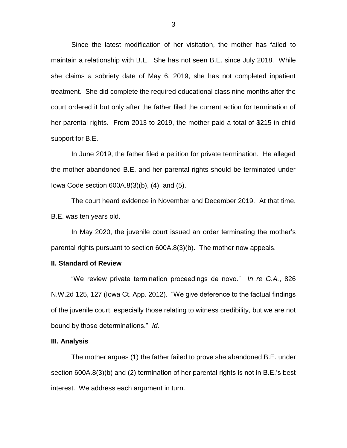Since the latest modification of her visitation, the mother has failed to maintain a relationship with B.E. She has not seen B.E. since July 2018. While she claims a sobriety date of May 6, 2019, she has not completed inpatient treatment. She did complete the required educational class nine months after the court ordered it but only after the father filed the current action for termination of her parental rights. From 2013 to 2019, the mother paid a total of \$215 in child support for B.E.

In June 2019, the father filed a petition for private termination. He alleged the mother abandoned B.E. and her parental rights should be terminated under Iowa Code section 600A.8(3)(b), (4), and (5).

The court heard evidence in November and December 2019. At that time, B.E. was ten years old.

In May 2020, the juvenile court issued an order terminating the mother's parental rights pursuant to section 600A.8(3)(b). The mother now appeals.

### **II. Standard of Review**

"We review private termination proceedings de novo." *In re G.A.*, 826 N.W.2d 125, 127 (Iowa Ct. App. 2012). "We give deference to the factual findings of the juvenile court, especially those relating to witness credibility, but we are not bound by those determinations." *Id.*

#### **III. Analysis**

The mother argues (1) the father failed to prove she abandoned B.E. under section 600A.8(3)(b) and (2) termination of her parental rights is not in B.E.'s best interest. We address each argument in turn.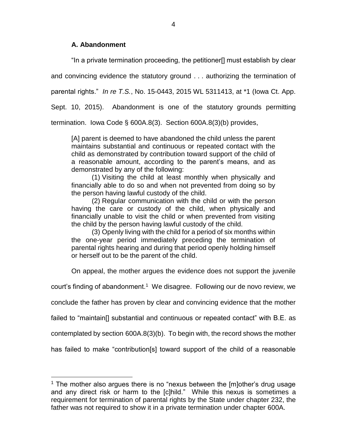# **A. Abandonment**

 $\overline{a}$ 

"In a private termination proceeding, the petitioner[] must establish by clear

and convincing evidence the statutory ground . . . authorizing the termination of

parental rights." *In re T.S.*, No. 15-0443, 2015 WL 5311413, at \*1 (Iowa Ct. App.

Sept. 10, 2015). Abandonment is one of the statutory grounds permitting

termination. Iowa Code § 600A.8(3). Section 600A.8(3)(b) provides,

[A] parent is deemed to have abandoned the child unless the parent maintains substantial and continuous or repeated contact with the child as demonstrated by contribution toward support of the child of a reasonable amount, according to the parent's means, and as demonstrated by any of the following:

(1) Visiting the child at least monthly when physically and financially able to do so and when not prevented from doing so by the person having lawful custody of the child.

(2) Regular communication with the child or with the person having the care or custody of the child, when physically and financially unable to visit the child or when prevented from visiting the child by the person having lawful custody of the child.

(3) Openly living with the child for a period of six months within the one-year period immediately preceding the termination of parental rights hearing and during that period openly holding himself or herself out to be the parent of the child.

On appeal, the mother argues the evidence does not support the juvenile

court's finding of abandonment.<sup>1</sup> We disagree. Following our de novo review, we

conclude the father has proven by clear and convincing evidence that the mother

failed to "maintain[] substantial and continuous or repeated contact" with B.E. as

contemplated by section 600A.8(3)(b). To begin with, the record shows the mother

has failed to make "contribution[s] toward support of the child of a reasonable

<sup>&</sup>lt;sup>1</sup> The mother also argues there is no "nexus between the  $[$ m $]$ other's drug usage and any direct risk or harm to the [c]hild." While this nexus is sometimes a requirement for termination of parental rights by the State under chapter 232, the father was not required to show it in a private termination under chapter 600A.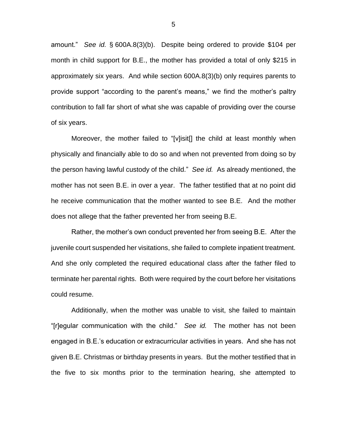amount." *See id.* § 600A.8(3)(b). Despite being ordered to provide \$104 per month in child support for B.E., the mother has provided a total of only \$215 in approximately six years. And while section 600A.8(3)(b) only requires parents to provide support "according to the parent's means," we find the mother's paltry contribution to fall far short of what she was capable of providing over the course of six years.

Moreover, the mother failed to "[v]isit[] the child at least monthly when physically and financially able to do so and when not prevented from doing so by the person having lawful custody of the child." *See id.* As already mentioned, the mother has not seen B.E. in over a year. The father testified that at no point did he receive communication that the mother wanted to see B.E. And the mother does not allege that the father prevented her from seeing B.E.

Rather, the mother's own conduct prevented her from seeing B.E. After the juvenile court suspended her visitations, she failed to complete inpatient treatment. And she only completed the required educational class after the father filed to terminate her parental rights. Both were required by the court before her visitations could resume.

Additionally, when the mother was unable to visit, she failed to maintain "[r]egular communication with the child." *See id.* The mother has not been engaged in B.E.'s education or extracurricular activities in years. And she has not given B.E. Christmas or birthday presents in years. But the mother testified that in the five to six months prior to the termination hearing, she attempted to

5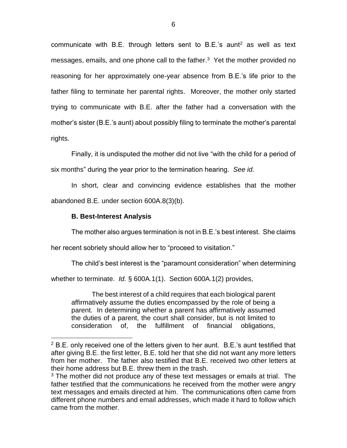communicate with B.E. through letters sent to B.E.'s aunt<sup>2</sup> as well as text messages, emails, and one phone call to the father.<sup>3</sup> Yet the mother provided no reasoning for her approximately one-year absence from B.E.'s life prior to the father filing to terminate her parental rights. Moreover, the mother only started trying to communicate with B.E. after the father had a conversation with the mother's sister (B.E.'s aunt) about possibly filing to terminate the mother's parental rights.

Finally, it is undisputed the mother did not live "with the child for a period of six months" during the year prior to the termination hearing. *See id.*

In short, clear and convincing evidence establishes that the mother abandoned B.E. under section 600A.8(3)(b).

# **B. Best-Interest Analysis**

 $\overline{a}$ 

The mother also argues termination is not in B.E.'s best interest. She claims

her recent sobriety should allow her to "proceed to visitation."

The child's best interest is the "paramount consideration" when determining

whether to terminate. *Id.* § 600A.1(1). Section 600A.1(2) provides,

The best interest of a child requires that each biological parent affirmatively assume the duties encompassed by the role of being a parent. In determining whether a parent has affirmatively assumed the duties of a parent, the court shall consider, but is not limited to consideration of, the fulfillment of financial obligations,

 $2$  B.E. only received one of the letters given to her aunt. B.E.'s aunt testified that after giving B.E. the first letter, B.E. told her that she did not want any more letters from her mother. The father also testified that B.E. received two other letters at their home address but B.E. threw them in the trash.

<sup>&</sup>lt;sup>3</sup> The mother did not produce any of these text messages or emails at trial. The father testified that the communications he received from the mother were angry text messages and emails directed at him. The communications often came from different phone numbers and email addresses, which made it hard to follow which came from the mother.